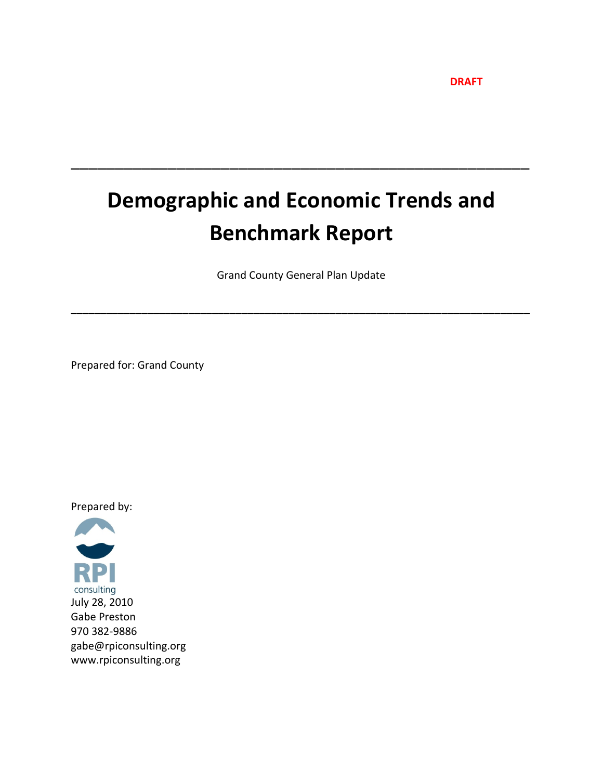**DRAFT**

# **Demographic and Economic Trends and Benchmark Report**

\_\_\_\_\_\_\_\_\_\_\_\_\_\_\_\_\_\_\_\_\_\_\_\_\_\_\_\_\_\_\_\_\_\_\_\_\_\_\_\_\_\_\_\_\_\_\_\_\_\_\_\_

Grand County General Plan Update

**\_\_\_\_\_\_\_\_\_\_\_\_\_\_\_\_\_\_\_\_\_\_\_\_\_\_\_\_\_\_\_\_\_\_\_\_\_\_\_\_\_\_\_\_\_\_\_\_\_\_\_\_\_\_\_\_\_\_\_\_\_\_\_\_\_\_\_\_\_\_\_\_\_\_\_\_\_\_**

Prepared for: Grand County

Prepared by:

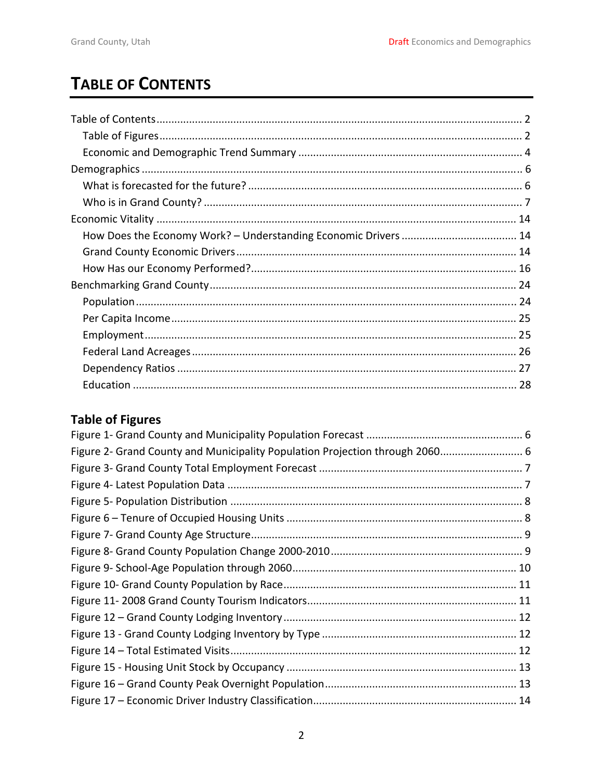# <span id="page-1-0"></span>**TABLE OF CONTENTS**

# **Table of Figures**

| Figure 2- Grand County and Municipality Population Projection through 2060 6 |  |
|------------------------------------------------------------------------------|--|
|                                                                              |  |
|                                                                              |  |
|                                                                              |  |
|                                                                              |  |
|                                                                              |  |
|                                                                              |  |
|                                                                              |  |
|                                                                              |  |
|                                                                              |  |
|                                                                              |  |
|                                                                              |  |
|                                                                              |  |
|                                                                              |  |
|                                                                              |  |
|                                                                              |  |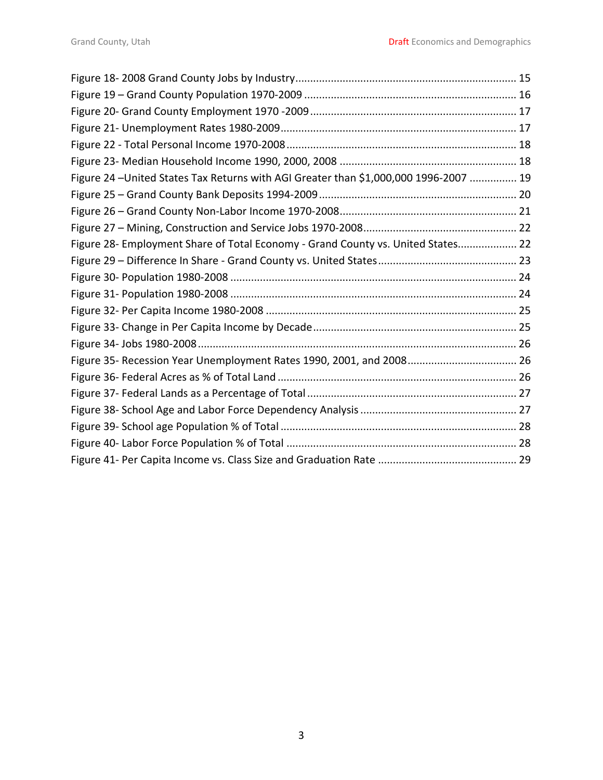| Figure 24 - United States Tax Returns with AGI Greater than \$1,000,000 1996-2007  19 |  |
|---------------------------------------------------------------------------------------|--|
|                                                                                       |  |
|                                                                                       |  |
|                                                                                       |  |
| Figure 28- Employment Share of Total Economy - Grand County vs. United States 22      |  |
|                                                                                       |  |
|                                                                                       |  |
|                                                                                       |  |
|                                                                                       |  |
|                                                                                       |  |
|                                                                                       |  |
|                                                                                       |  |
|                                                                                       |  |
|                                                                                       |  |
|                                                                                       |  |
|                                                                                       |  |
|                                                                                       |  |
|                                                                                       |  |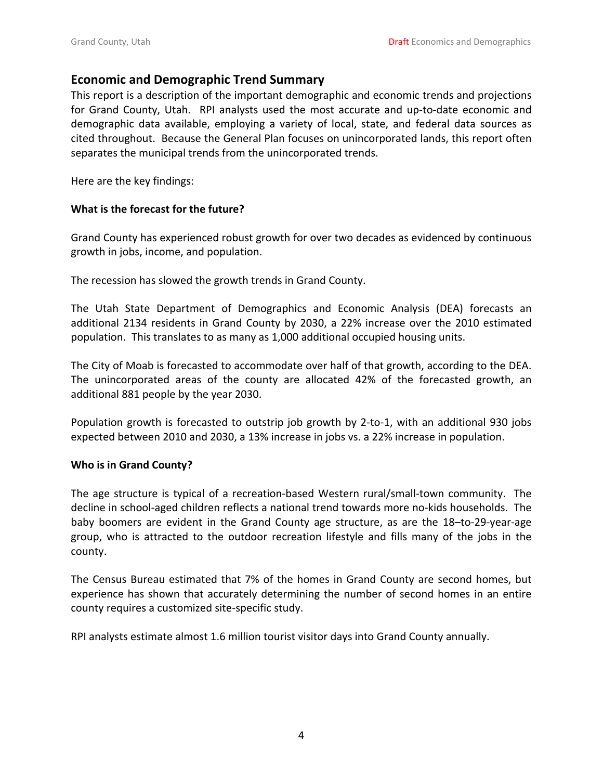#### <span id="page-3-0"></span>**Economic and Demographic Trend Summary**

This report is a description of the important demographic and economic trends and projections for Grand County, Utah. RPI analysts used the most accurate and up-to-date economic and demographic data available, employing a variety of local, state, and federal data sources as cited throughout. Because the General Plan focuses on unincorporated lands, this report often separates the municipal trends from the unincorporated trends.

Here are the key findings:

#### **What is the forecast for the future?**

Grand County has experienced robust growth for over two decades as evidenced by continuous growth in jobs, income, and population.

The recession has slowed the growth trends in Grand County.

The Utah State Department of Demographics and Economic Analysis (DEA) forecasts an additional 2134 residents in Grand County by 2030, a 22% increase over the 2010 estimated population. This translates to as many as 1,000 additional occupied housing units.

The City of Moab is forecasted to accommodate over half of that growth, according to the DEA. The unincorporated areas of the county are allocated 42% of the forecasted growth, an additional 881 people by the year 2030.

Population growth is forecasted to outstrip job growth by 2-to-1, with an additional 930 jobs expected between 2010 and 2030, a 13% increase in jobs vs. a 22% increase in population.

#### **Who is in Grand County?**

The age structure is typical of a recreation‐based Western rural/small‐town community. The decline in school‐aged children reflects a national trend towards more no‐kids households. The baby boomers are evident in the Grand County age structure, as are the 18-to-29-year-age group, who is attracted to the outdoor recreation lifestyle and fills many of the jobs in the county.

The Census Bureau estimated that 7% of the homes in Grand County are second homes, but experience has shown that accurately determining the number of second homes in an entire county requires a customized site‐specific study.

RPI analysts estimate almost 1.6 million tourist visitor days into Grand County annually.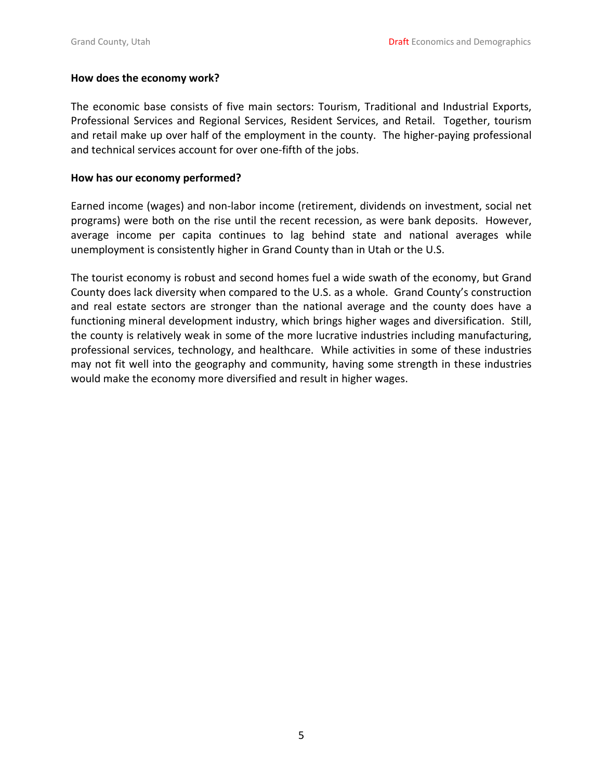#### **How does the economy work?**

The economic base consists of five main sectors: Tourism, Traditional and Industrial Exports, Professional Services and Regional Services, Resident Services, and Retail. Together, tourism and retail make up over half of the employment in the county. The higher-paying professional and technical services account for over one‐fifth of the jobs.

#### **How has our economy performed?**

Earned income (wages) and non‐labor income (retirement, dividends on investment, social net programs) were both on the rise until the recent recession, as were bank deposits. However, average income per capita continues to lag behind state and national averages while unemployment is consistently higher in Grand County than in Utah or the U.S.

The tourist economy is robust and second homes fuel a wide swath of the economy, but Grand County does lack diversity when compared to the U.S. as a whole. Grand County's construction and real estate sectors are stronger than the national average and the county does have a functioning mineral development industry, which brings higher wages and diversification. Still, the county is relatively weak in some of the more lucrative industries including manufacturing, professional services, technology, and healthcare. While activities in some of these industries may not fit well into the geography and community, having some strength in these industries would make the economy more diversified and result in higher wages.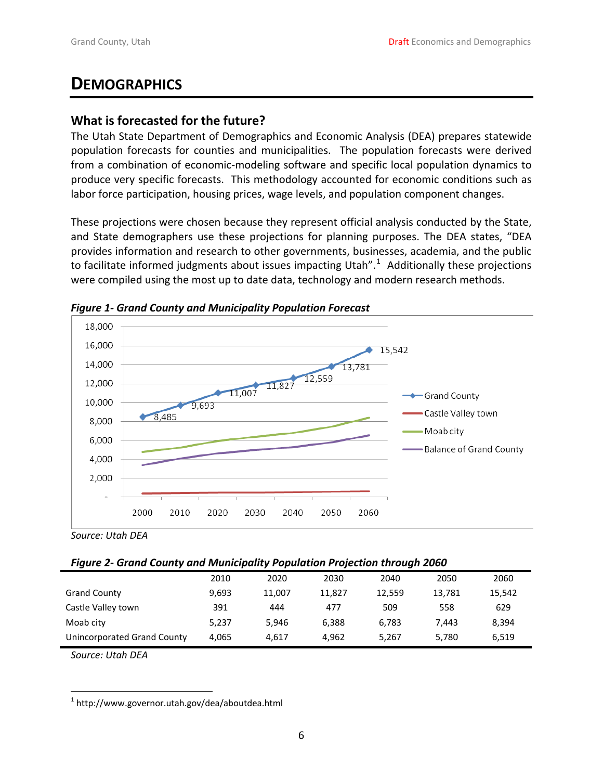# <span id="page-5-0"></span>**DEMOGRAPHICS**

# **What is forecasted for the future?**

The Utah State Department of Demographics and Economic Analysis (DEA) prepares statewide population forecasts for counties and municipalities. The population forecasts were derived from a combination of economic‐modeling software and specific local population dynamics to produce very specific forecasts. This methodology accounted for economic conditions such as labor force participation, housing prices, wage levels, and population component changes.

These projections were chosen because they represent official analysis conducted by the State, and State demographers use these projections for planning purposes. The DEA states, "DEA provides information and research to other governments, businesses, academia, and the public to facilitate informed judgments about issues impacting Utah".<sup>[1](#page-5-1)</sup> Additionally these projections were compiled using the most up to date data, technology and modern research methods.





#### *Figure 2‐ Grand County and Municipality Population Projection through 2060*

|                             | 2010  | 2020   | 2030   | 2040   | 2050   | 2060   |
|-----------------------------|-------|--------|--------|--------|--------|--------|
| <b>Grand County</b>         | 9,693 | 11,007 | 11.827 | 12,559 | 13.781 | 15,542 |
| Castle Valley town          | 391   | 444    | 477    | 509    | 558    | 629    |
| Moab city                   | 5.237 | 5.946  | 6.388  | 6.783  | 7.443  | 8,394  |
| Unincorporated Grand County | 4.065 | 4.617  | 4.962  | 5,267  | 5,780  | 6,519  |

*Source: Utah DEA*

<span id="page-5-1"></span>  $1$  http://www.governor.utah.gov/dea/aboutdea.html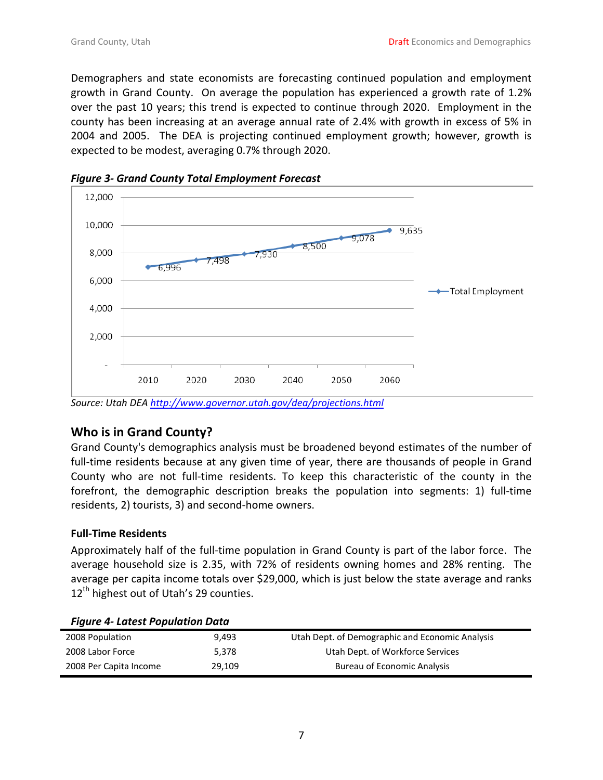<span id="page-6-0"></span>Demographers and state economists are forecasting continued population and employment growth in Grand County. On average the population has experienced a growth rate of 1.2% over the past 10 years; this trend is expected to continue through 2020. Employment in the county has been increasing at an average annual rate of 2.4% with growth in excess of 5% in 2004 and 2005. The DEA is projecting continued employment growth; however, growth is expected to be modest, averaging 0.7% through 2020.





# **Who is in Grand County?**

Grand County's demographics analysis must be broadened beyond estimates of the number of full-time residents because at any given time of year, there are thousands of people in Grand County who are not full‐time residents. To keep this characteristic of the county in the forefront, the demographic description breaks the population into segments: 1) full‐time residents, 2) tourists, 3) and second‐home owners.

#### **Full‐Time Residents**

Approximately half of the full-time population in Grand County is part of the labor force. The average household size is 2.35, with 72% of residents owning homes and 28% renting. The average per capita income totals over \$29,000, which is just below the state average and ranks  $12<sup>th</sup>$  highest out of Utah's 29 counties.

| rigare + Latest ropalation Data |        |                                                 |
|---------------------------------|--------|-------------------------------------------------|
| 2008 Population                 | 9.493  | Utah Dept. of Demographic and Economic Analysis |
| 2008 Labor Force                | 5.378  | Utah Dept. of Workforce Services                |
| 2008 Per Capita Income          | 29.109 | <b>Bureau of Economic Analysis</b>              |

#### *Figure 4‐ Latest Population Data*

*Source: Utah DEA <http://www.governor.utah.gov/dea/projections.html>*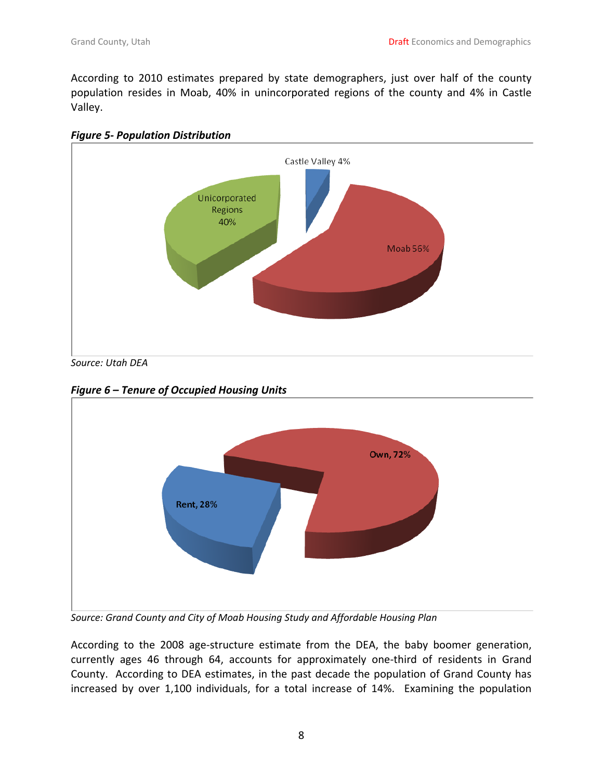<span id="page-7-0"></span>According to 2010 estimates prepared by state demographers, just over half of the county population resides in Moab, 40% in unincorporated regions of the county and 4% in Castle Valley.





*Source: Utah DEA*

*Figure 6 – Tenure of Occupied Housing Units*



*Source: Grand County and City of Moab Housing Study and Affordable Housing Plan*

According to the 2008 age‐structure estimate from the DEA, the baby boomer generation, currently ages 46 through 64, accounts for approximately one‐third of residents in Grand County. According to DEA estimates, in the past decade the population of Grand County has increased by over 1,100 individuals, for a total increase of 14%. Examining the population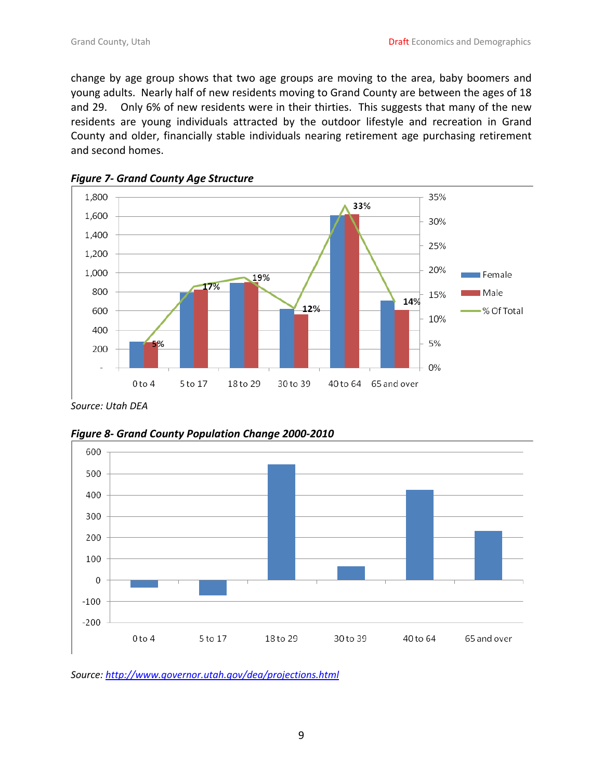<span id="page-8-0"></span>change by age group shows that two age groups are moving to the area, baby boomers and young adults. Nearly half of new residents moving to Grand County are between the ages of 18 and 29. Only 6% of new residents were in their thirties. This suggests that many of the new residents are young individuals attracted by the outdoor lifestyle and recreation in Grand County and older, financially stable individuals nearing retirement age purchasing retirement and second homes.





*Source: Utah DEA*





*Source: <http://www.governor.utah.gov/dea/projections.html>*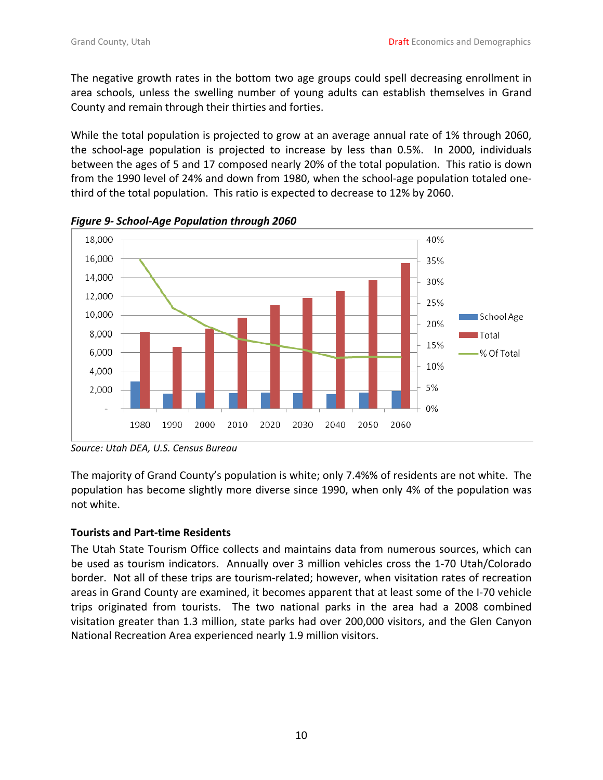<span id="page-9-0"></span>The negative growth rates in the bottom two age groups could spell decreasing enrollment in area schools, unless the swelling number of young adults can establish themselves in Grand County and remain through their thirties and forties.

While the total population is projected to grow at an average annual rate of 1% through 2060, the school-age population is projected to increase by less than 0.5%. In 2000, individuals between the ages of 5 and 17 composed nearly 20% of the total population. This ratio is down from the 1990 level of 24% and down from 1980, when the school-age population totaled onethird of the total population. This ratio is expected to decrease to 12% by 2060.



*Figure 9‐ School‐Age Population through 2060*

*Source: Utah DEA, U.S. Census Bureau*

The majority of Grand County's population is white; only 7.4%% of residents are not white. The population has become slightly more diverse since 1990, when only 4% of the population was not white.

### **Tourists and Part‐time Residents**

The Utah State Tourism Office collects and maintains data from numerous sources, which can be used as tourism indicators. Annually over 3 million vehicles cross the 1‐70 Utah/Colorado border. Not all of these trips are tourism-related; however, when visitation rates of recreation areas in Grand County are examined, it becomes apparent that at least some of the I‐70 vehicle trips originated from tourists. The two national parks in the area had a 2008 combined visitation greater than 1.3 million, state parks had over 200,000 visitors, and the Glen Canyon National Recreation Area experienced nearly 1.9 million visitors.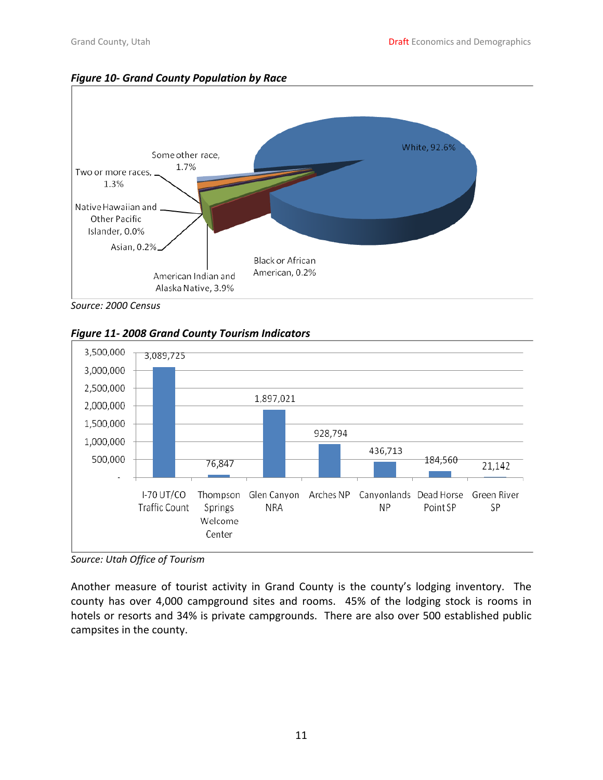<span id="page-10-0"></span>



*Source: 2000 Census*





*Source: Utah Office of Tourism*

Another measure of tourist activity in Grand County is the county's lodging inventory. The county has over 4,000 campground sites and rooms. 45% of the lodging stock is rooms in hotels or resorts and 34% is private campgrounds. There are also over 500 established public campsites in the county.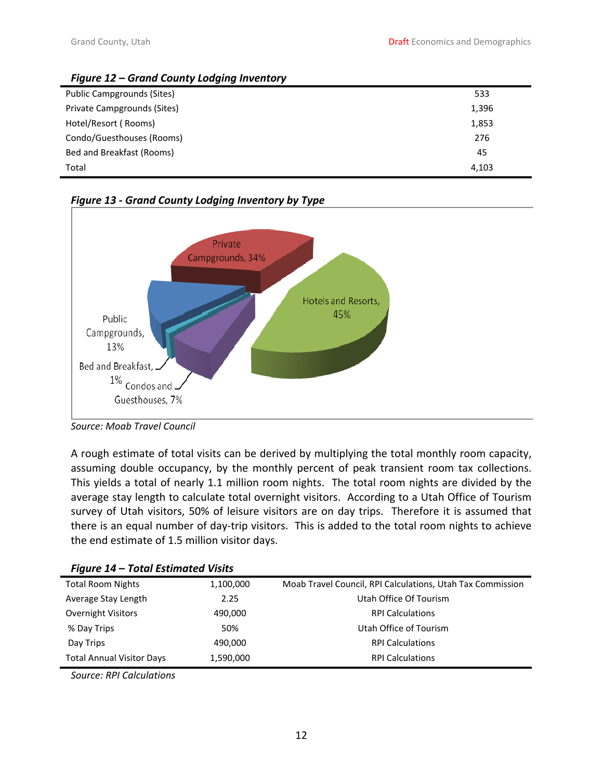<span id="page-11-0"></span>

| Figure 12 – Grand County Lodging Inventory |       |
|--------------------------------------------|-------|
| Public Campgrounds (Sites)                 | 533   |
| Private Campgrounds (Sites)                | 1,396 |
| Hotel/Resort (Rooms)                       | 1,853 |
| Condo/Guesthouses (Rooms)                  | 276   |
| Bed and Breakfast (Rooms)                  | 45    |
| Total                                      | 4,103 |





*Source: Moab Travel Council*

A rough estimate of total visits can be derived by multiplying the total monthly room capacity, assuming double occupancy, by the monthly percent of peak transient room tax collections. This yields a total of nearly 1.1 million room nights. The total room nights are divided by the average stay length to calculate total overnight visitors. According to a Utah Office of Tourism survey of Utah visitors, 50% of leisure visitors are on day trips. Therefore it is assumed that there is an equal number of day‐trip visitors. This is added to the total room nights to achieve the end estimate of 1.5 million visitor days.

| Figure 14 – Total Estimated Visits |           |                                                            |
|------------------------------------|-----------|------------------------------------------------------------|
| <b>Total Room Nights</b>           | 1,100,000 | Moab Travel Council, RPI Calculations, Utah Tax Commission |
| Average Stay Length                | 2.25      | Utah Office Of Tourism                                     |
| <b>Overnight Visitors</b>          | 490,000   | <b>RPI Calculations</b>                                    |
| % Day Trips                        | 50%       | Utah Office of Tourism                                     |
| Day Trips                          | 490,000   | <b>RPI Calculations</b>                                    |
| <b>Total Annual Visitor Days</b>   | 1,590,000 | <b>RPI Calculations</b>                                    |

*Figure 14 – Total Estimated Visits* 

*Source: RPI Calculations*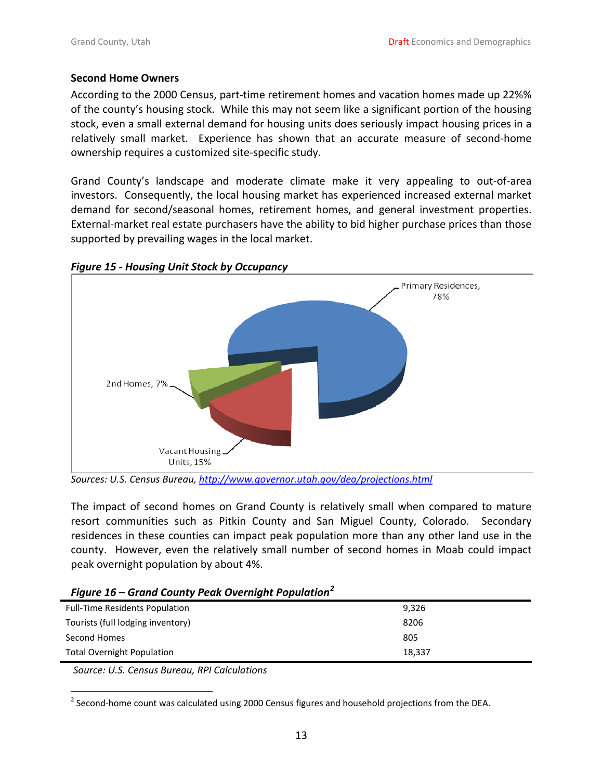#### <span id="page-12-0"></span>**Second Home Owners**

According to the 2000 Census, part‐time retirement homes and vacation homes made up 22%% of the county's housing stock. While this may not seem like a significant portion of the housing stock, even a small external demand for housing units does seriously impact housing prices in a relatively small market. Experience has shown that an accurate measure of second‐home ownership requires a customized site‐specific study.

Grand County's landscape and moderate climate make it very appealing to out‐of‐area investors. Consequently, the local housing market has experienced increased external market demand for second/seasonal homes, retirement homes, and general investment properties. External-market real estate purchasers have the ability to bid higher purchase prices than those supported by prevailing wages in the local market.



*Figure 15 ‐ Housing Unit Stock by Occupancy*

*Sources: U.S. Census Bureau, <http://www.governor.utah.gov/dea/projections.html>* 

The impact of second homes on Grand County is relatively small when compared to mature resort communities such as Pitkin County and San Miguel County, Colorado. Secondary residences in these counties can impact peak population more than any other land use in the county. However, even the relatively small number of second homes in Moab could impact peak overnight population by about 4%.

| Figure 16 – Grana County Peak Overnight Population |        |
|----------------------------------------------------|--------|
| <b>Full-Time Residents Population</b>              | 9,326  |
| Tourists (full lodging inventory)                  | 8206   |
| Second Homes                                       | 805    |
| <b>Total Overnight Population</b>                  | 18.337 |

*Figure 16 – Grand County Peak Overnight Population[2](#page-12-1)*

*Source: U.S. Census Bureau, RPI Calculations*

<span id="page-12-1"></span> <sup>2</sup> Second-home count was calculated using 2000 Census figures and household projections from the DEA.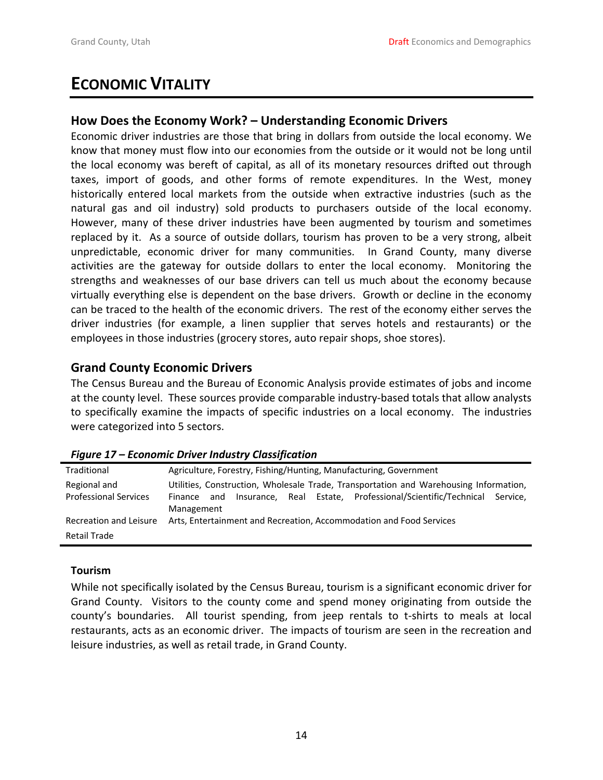# <span id="page-13-0"></span>**ECONOMIC VITALITY**

# **How Does the Economy Work? – Understanding Economic Drivers**

Economic driver industries are those that bring in dollars from outside the local economy. We know that money must flow into our economies from the outside or it would not be long until the local economy was bereft of capital, as all of its monetary resources drifted out through taxes, import of goods, and other forms of remote expenditures. In the West, money historically entered local markets from the outside when extractive industries (such as the natural gas and oil industry) sold products to purchasers outside of the local economy. However, many of these driver industries have been augmented by tourism and sometimes replaced by it. As a source of outside dollars, tourism has proven to be a very strong, albeit unpredictable, economic driver for many communities. In Grand County, many diverse activities are the gateway for outside dollars to enter the local economy. Monitoring the strengths and weaknesses of our base drivers can tell us much about the economy because virtually everything else is dependent on the base drivers. Growth or decline in the economy can be traced to the health of the economic drivers. The rest of the economy either serves the driver industries (for example, a linen supplier that serves hotels and restaurants) or the employees in those industries (grocery stores, auto repair shops, shoe stores).

# **Grand County Economic Drivers**

The Census Bureau and the Bureau of Economic Analysis provide estimates of jobs and income at the county level. These sources provide comparable industry‐based totals that allow analysts to specifically examine the impacts of specific industries on a local economy. The industries were categorized into 5 sectors.

| Traditional                  | Agriculture, Forestry, Fishing/Hunting, Manufacturing, Government                               |  |  |  |  |  |  |
|------------------------------|-------------------------------------------------------------------------------------------------|--|--|--|--|--|--|
| Regional and                 | Utilities, Construction, Wholesale Trade, Transportation and Warehousing Information,           |  |  |  |  |  |  |
| <b>Professional Services</b> | Insurance, Real Estate, Professional/Scientific/Technical Service,<br>Finance and<br>Management |  |  |  |  |  |  |
| Recreation and Leisure       | Arts, Entertainment and Recreation, Accommodation and Food Services                             |  |  |  |  |  |  |
| <b>Retail Trade</b>          |                                                                                                 |  |  |  |  |  |  |

*Figure 17 – Economic Driver Industry Classification* 

#### **Tourism**

While not specifically isolated by the Census Bureau, tourism is a significant economic driver for Grand County. Visitors to the county come and spend money originating from outside the county's boundaries. All tourist spending, from jeep rentals to t-shirts to meals at local restaurants, acts as an economic driver. The impacts of tourism are seen in the recreation and leisure industries, as well as retail trade, in Grand County.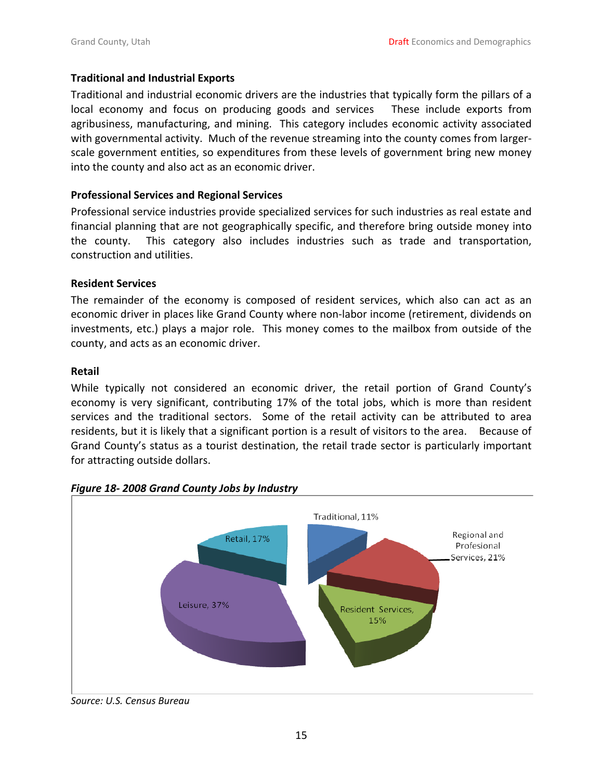#### <span id="page-14-0"></span>**Traditional and Industrial Exports**

Traditional and industrial economic drivers are the industries that typically form the pillars of a local economy and focus on producing goods and services These include exports from agribusiness, manufacturing, and mining. This category includes economic activity associated with governmental activity. Much of the revenue streaming into the county comes from larger‐ scale government entities, so expenditures from these levels of government bring new money into the county and also act as an economic driver.

#### **Professional Services and Regional Services**

Professional service industries provide specialized services for such industries as real estate and financial planning that are not geographically specific, and therefore bring outside money into the county. This category also includes industries such as trade and transportation, construction and utilities.

#### **Resident Services**

The remainder of the economy is composed of resident services, which also can act as an economic driver in places like Grand County where non-labor income (retirement, dividends on investments, etc.) plays a major role. This money comes to the mailbox from outside of the county, and acts as an economic driver.

#### **Retail**

While typically not considered an economic driver, the retail portion of Grand County's economy is very significant, contributing 17% of the total jobs, which is more than resident services and the traditional sectors. Some of the retail activity can be attributed to area residents, but it is likely that a significant portion is a result of visitors to the area. Because of Grand County's status as a tourist destination, the retail trade sector is particularly important for attracting outside dollars.



*Figure 18‐ 2008 Grand County Jobs by Industry*

*Source: U.S. Census Bureau*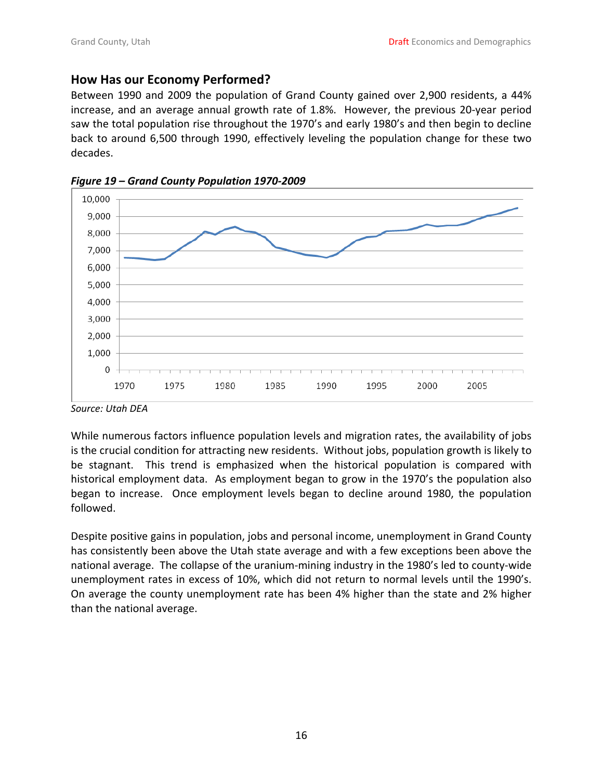### <span id="page-15-0"></span>**How Has our Economy Performed?**

Between 1990 and 2009 the population of Grand County gained over 2,900 residents, a 44% increase, and an average annual growth rate of 1.8%. However, the previous 20‐year period saw the total population rise throughout the 1970's and early 1980's and then begin to decline back to around 6,500 through 1990, effectively leveling the population change for these two decades.





*Source: Utah DEA*

While numerous factors influence population levels and migration rates, the availability of jobs is the crucial condition for attracting new residents. Without jobs, population growth is likely to be stagnant. This trend is emphasized when the historical population is compared with historical employment data. As employment began to grow in the 1970's the population also began to increase. Once employment levels began to decline around 1980, the population followed.

Despite positive gains in population, jobs and personal income, unemployment in Grand County has consistently been above the Utah state average and with a few exceptions been above the national average. The collapse of the uranium‐mining industry in the 1980's led to county‐wide unemployment rates in excess of 10%, which did not return to normal levels until the 1990's. On average the county unemployment rate has been 4% higher than the state and 2% higher than the national average.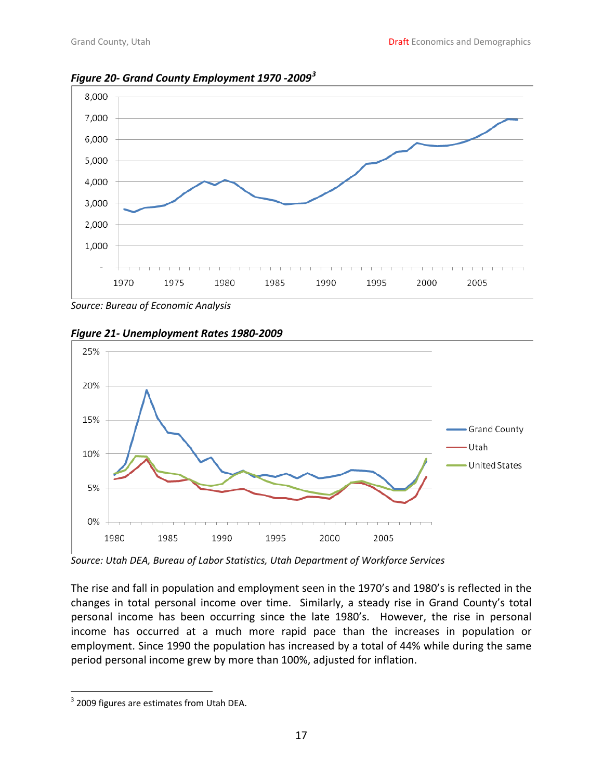

<span id="page-16-0"></span>*Figure 20‐ Grand County Employment 1970 ‐2009[3](#page-16-1)*







*Source: Utah DEA, Bureau of Labor Statistics, Utah Department of Workforce Services*

The rise and fall in population and employment seen in the 1970's and 1980's is reflected in the changes in total personal income over time. Similarly, a steady rise in Grand County's total personal income has been occurring since the late 1980's. However, the rise in personal income has occurred at a much more rapid pace than the increases in population or employment. Since 1990 the population has increased by a total of 44% while during the same period personal income grew by more than 100%, adjusted for inflation.

<span id="page-16-1"></span> <sup>3</sup> 2009 figures are estimates from Utah DEA.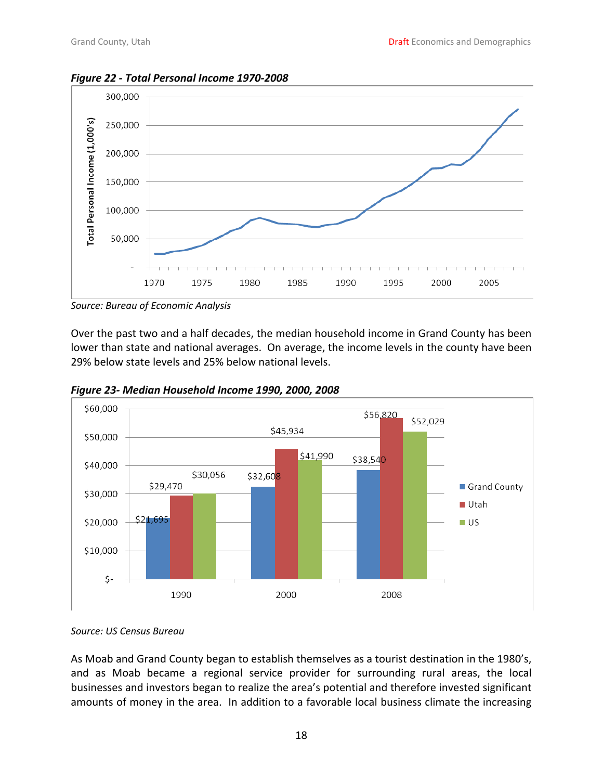<span id="page-17-0"></span>*Figure 22 ‐ Total Personal Income 1970‐2008* 



*Source: Bureau of Economic Analysis*

Over the past two and a half decades, the median household income in Grand County has been lower than state and national averages. On average, the income levels in the county have been 29% below state levels and 25% below national levels.



*Figure 23‐ Median Household Income 1990, 2000, 2008*

As Moab and Grand County began to establish themselves as a tourist destination in the 1980's, and as Moab became a regional service provider for surrounding rural areas, the local businesses and investors began to realize the area's potential and therefore invested significant amounts of money in the area. In addition to a favorable local business climate the increasing

*Source: US Census Bureau*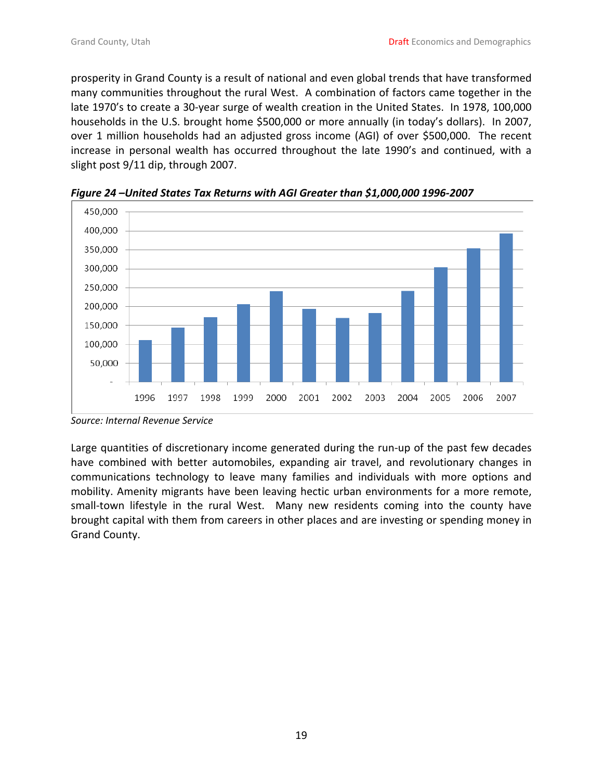<span id="page-18-0"></span>prosperity in Grand County is a result of national and even global trends that have transformed many communities throughout the rural West. A combination of factors came together in the late 1970's to create a 30-year surge of wealth creation in the United States. In 1978, 100,000 households in the U.S. brought home \$500,000 or more annually (in today's dollars). In 2007, over 1 million households had an adjusted gross income (AGI) of over \$500,000. The recent increase in personal wealth has occurred throughout the late 1990's and continued, with a slight post 9/11 dip, through 2007.



*Figure 24 –United States Tax Returns with AGI Greater than \$1,000,000 1996‐2007*

Large quantities of discretionary income generated during the run-up of the past few decades have combined with better automobiles, expanding air travel, and revolutionary changes in communications technology to leave many families and individuals with more options and mobility. Amenity migrants have been leaving hectic urban environments for a more remote, small-town lifestyle in the rural West. Many new residents coming into the county have brought capital with them from careers in other places and are investing or spending money in Grand County.

*Source: Internal Revenue Service*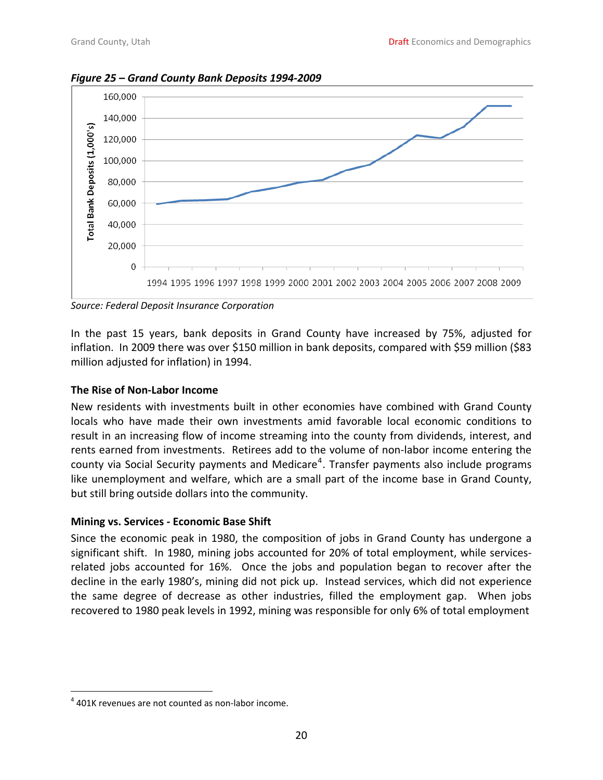

<span id="page-19-0"></span>*Figure 25 – Grand County Bank Deposits 1994‐2009*

*Source: Federal Deposit Insurance Corporation*

In the past 15 years, bank deposits in Grand County have increased by 75%, adjusted for inflation. In 2009 there was over \$150 million in bank deposits, compared with \$59 million (\$83 million adjusted for inflation) in 1994.

#### **The Rise of Non‐Labor Income**

New residents with investments built in other economies have combined with Grand County locals who have made their own investments amid favorable local economic conditions to result in an increasing flow of income streaming into the county from dividends, interest, and rents earned from investments. Retirees add to the volume of non‐labor income entering the county via Social Security payments and Medicare<sup>[4](#page-19-1)</sup>. Transfer payments also include programs like unemployment and welfare, which are a small part of the income base in Grand County, but still bring outside dollars into the community.

#### **Mining vs. Services ‐ Economic Base Shift**

Since the economic peak in 1980, the composition of jobs in Grand County has undergone a significant shift. In 1980, mining jobs accounted for 20% of total employment, while servicesrelated jobs accounted for 16%. Once the jobs and population began to recover after the decline in the early 1980's, mining did not pick up. Instead services, which did not experience the same degree of decrease as other industries, filled the employment gap. When jobs recovered to 1980 peak levels in 1992, mining was responsible for only 6% of total employment

<span id="page-19-1"></span> $4$  401K revenues are not counted as non-labor income.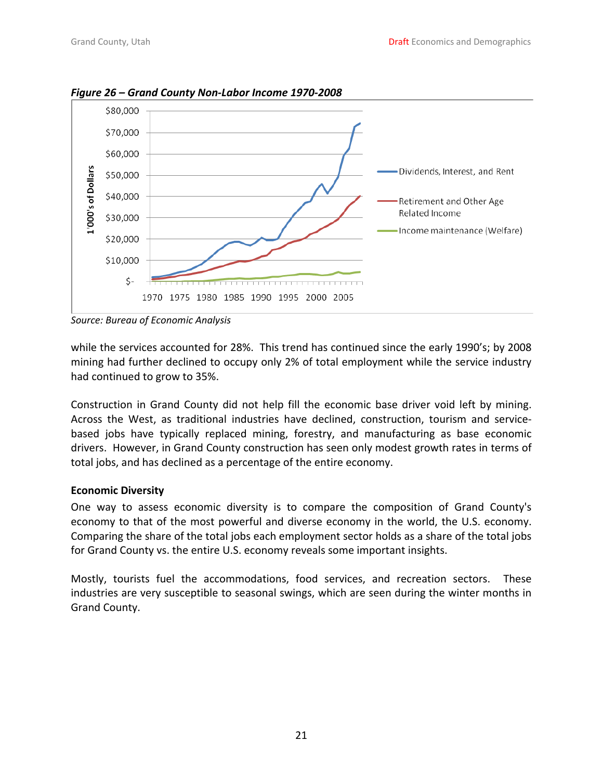

<span id="page-20-0"></span>*Figure 26 – Grand County Non‐Labor Income 1970‐2008*

*Source: Bureau of Economic Analysis*

while the services accounted for 28%. This trend has continued since the early 1990's; by 2008 mining had further declined to occupy only 2% of total employment while the service industry had continued to grow to 35%.

Construction in Grand County did not help fill the economic base driver void left by mining. Across the West, as traditional industries have declined, construction, tourism and service‐ based jobs have typically replaced mining, forestry, and manufacturing as base economic drivers. However, in Grand County construction has seen only modest growth rates in terms of total jobs, and has declined as a percentage of the entire economy.

#### **Economic Diversity**

One way to assess economic diversity is to compare the composition of Grand County's economy to that of the most powerful and diverse economy in the world, the U.S. economy. Comparing the share of the total jobs each employment sector holds as a share of the total jobs for Grand County vs. the entire U.S. economy reveals some important insights.

Mostly, tourists fuel the accommodations, food services, and recreation sectors. These industries are very susceptible to seasonal swings, which are seen during the winter months in Grand County.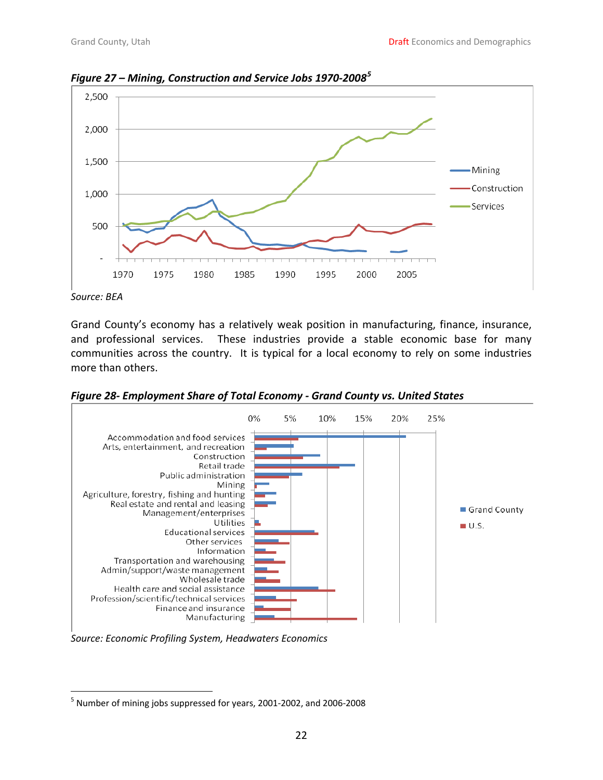

<span id="page-21-0"></span>*Figure 27 – Mining, Construction and Service Jobs 1970‐2008[5](#page-21-1)*

Grand County's economy has a relatively weak position in manufacturing, finance, insurance, and professional services. These industries provide a stable economic base for many communities across the country. It is typical for a local economy to rely on some industries more than others.

*Figure 28‐ Employment Share of Total Economy ‐ Grand County vs. United States*



*Source: Economic Profiling System, Headwaters Economics*

*Source: BEA*

<span id="page-21-1"></span><sup>5</sup> Number of mining jobs suppressed for years, 2001‐2002, and 2006‐2008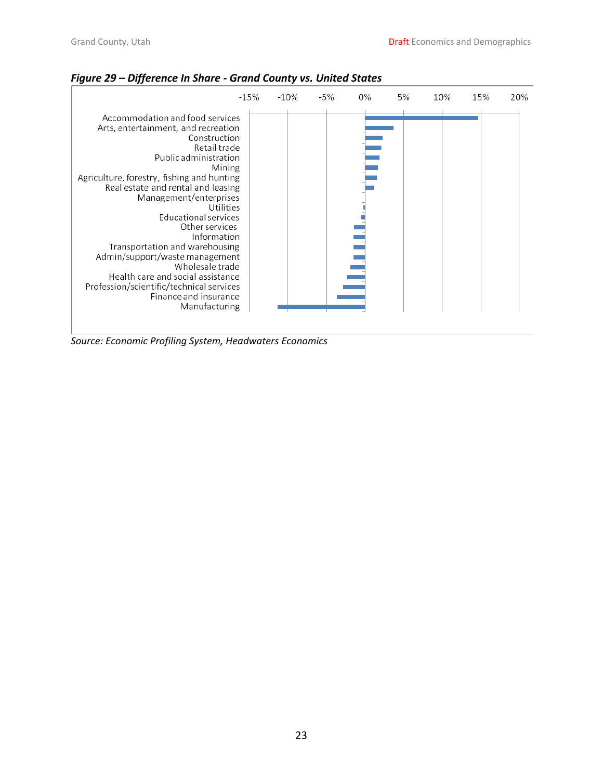|                                                                                                                                                                                                                                                                                                                                                                                                                                                                                                                                | $-15%$ | $-10%$ | -5% | 0% | 5% | 10% | 15% | 20% |
|--------------------------------------------------------------------------------------------------------------------------------------------------------------------------------------------------------------------------------------------------------------------------------------------------------------------------------------------------------------------------------------------------------------------------------------------------------------------------------------------------------------------------------|--------|--------|-----|----|----|-----|-----|-----|
| Accommodation and food services<br>Arts, entertainment, and recreation<br>Construction<br>Retail trade<br>Public administration<br>Mining<br>Agriculture, forestry, fishing and hunting<br>Real estate and rental and leasing<br>Management/enterprises<br>Utilities<br>Educational services<br>Other services<br>Information<br>Transportation and warehousing<br>Admin/support/waste management<br>Wholesale trade<br>Health care and social assistance<br>Profession/scientific/technical services<br>Finance and insurance |        |        |     |    |    |     |     |     |
| Manufacturing                                                                                                                                                                                                                                                                                                                                                                                                                                                                                                                  |        |        |     |    |    |     |     |     |

<span id="page-22-0"></span>*Figure 29 – Difference In Share ‐ Grand County vs. United States* 

*Source: Economic Profiling System, Headwaters Economics*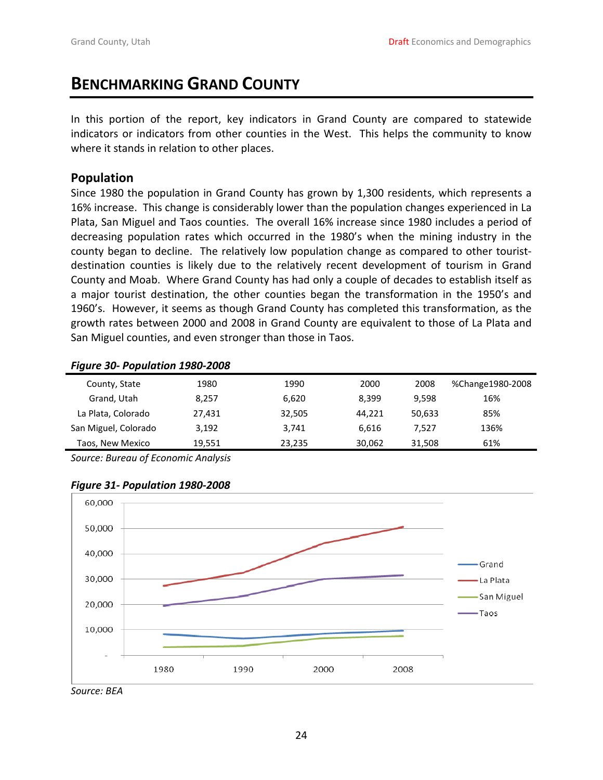# <span id="page-23-0"></span>**BENCHMARKING GRAND COUNTY**

In this portion of the report, key indicators in Grand County are compared to statewide indicators or indicators from other counties in the West. This helps the community to know where it stands in relation to other places.

### **Population**

Since 1980 the population in Grand County has grown by 1,300 residents, which represents a 16% increase. This change is considerably lower than the population changes experienced in La Plata, San Miguel and Taos counties. The overall 16% increase since 1980 includes a period of decreasing population rates which occurred in the 1980's when the mining industry in the county began to decline. The relatively low population change as compared to other tourist‐ destination counties is likely due to the relatively recent development of tourism in Grand County and Moab. Where Grand County has had only a couple of decades to establish itself as a major tourist destination, the other counties began the transformation in the 1950's and 1960's. However, it seems as though Grand County has completed this transformation, as the growth rates between 2000 and 2008 in Grand County are equivalent to those of La Plata and San Miguel counties, and even stronger than those in Taos.

#### *Figure 30‐ Population 1980‐2008*

| -                    |        |        |        |        |                  |
|----------------------|--------|--------|--------|--------|------------------|
| County, State        | 1980   | 1990   | 2000   | 2008   | %Change1980-2008 |
| Grand, Utah          | 8.257  | 6,620  | 8.399  | 9.598  | 16%              |
| La Plata, Colorado   | 27,431 | 32,505 | 44.221 | 50.633 | 85%              |
| San Miguel, Colorado | 3,192  | 3,741  | 6.616  | 7.527  | 136%             |
| Taos, New Mexico     | 19,551 | 23,235 | 30,062 | 31.508 | 61%              |
|                      |        |        |        |        |                  |

*Source: Bureau of Economic Analysis*



#### *Figure 31‐ Population 1980‐2008*

*Source: BEA*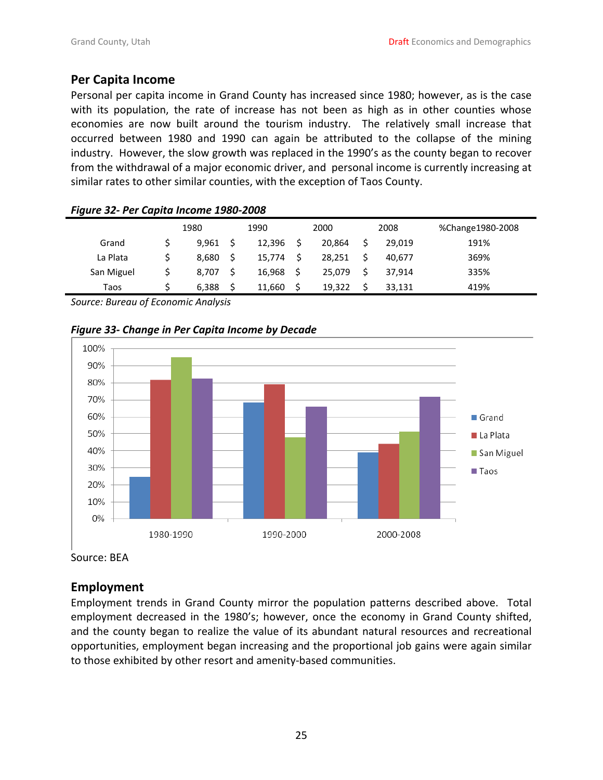#### <span id="page-24-0"></span>**Per Capita Income**

Personal per capita income in Grand County has increased since 1980; however, as is the case with its population, the rate of increase has not been as high as in other counties whose economies are now built around the tourism industry. The relatively small increase that occurred between 1980 and 1990 can again be attributed to the collapse of the mining industry. However, the slow growth was replaced in the 1990's as the county began to recover from the withdrawal of a major economic driver, and personal income is currently increasing at similar rates to other similar counties, with the exception of Taos County.

| .          |       |        |    |        |        |                  |
|------------|-------|--------|----|--------|--------|------------------|
|            | 1980  | 1990   |    | 2000   | 2008   | %Change1980-2008 |
| Grand      | 9,961 | 12,396 | S  | 20.864 | 29.019 | 191%             |
| La Plata   | 8,680 | 15,774 | Ŝ. | 28,251 | 40.677 | 369%             |
| San Miguel | 8,707 | 16.968 | -Ś | 25.079 | 37.914 | 335%             |
| Taos       | 6,388 | 11.660 | Ś  | 19.322 | 33,131 | 419%             |
|            |       |        |    |        |        |                  |

#### *Figure 32‐ Per Capita Income 1980‐2008*

*Source: Bureau of Economic Analysis*

*Figure 33‐ Change in Per Capita Income by Decade* 



Source: BEA

#### **Employment**

Employment trends in Grand County mirror the population patterns described above. Total employment decreased in the 1980's; however, once the economy in Grand County shifted, and the county began to realize the value of its abundant natural resources and recreational opportunities, employment began increasing and the proportional job gains were again similar to those exhibited by other resort and amenity‐based communities.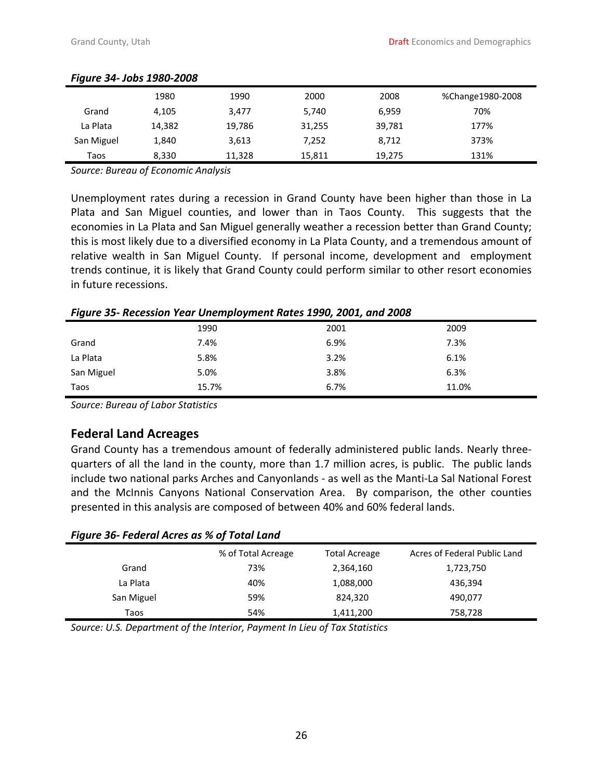| -          |        |        |        |        |                  |
|------------|--------|--------|--------|--------|------------------|
|            | 1980   | 1990   | 2000   | 2008   | %Change1980-2008 |
| Grand      | 4,105  | 3.477  | 5,740  | 6,959  | 70%              |
| La Plata   | 14,382 | 19,786 | 31,255 | 39,781 | 177%             |
| San Miguel | 1,840  | 3,613  | 7,252  | 8,712  | 373%             |
| Taos       | 8,330  | 11,328 | 15,811 | 19,275 | 131%             |

#### <span id="page-25-0"></span>*Figure 34‐ Jobs 1980‐2008*

*Source: Bureau of Economic Analysis*

Unemployment rates during a recession in Grand County have been higher than those in La Plata and San Miguel counties, and lower than in Taos County. This suggests that the economies in La Plata and San Miguel generally weather a recession better than Grand County; this is most likely due to a diversified economy in La Plata County, and a tremendous amount of relative wealth in San Miguel County. If personal income, development and employment trends continue, it is likely that Grand County could perform similar to other resort economies in future recessions.

*Figure 35‐ Recession Year Unemployment Rates 1990, 2001, and 2008*

|            | 1990  | 2001 | 2009  |
|------------|-------|------|-------|
| Grand      | 7.4%  | 6.9% | 7.3%  |
| La Plata   | 5.8%  | 3.2% | 6.1%  |
| San Miguel | 5.0%  | 3.8% | 6.3%  |
| Taos       | 15.7% | 6.7% | 11.0% |

*Source: Bureau of Labor Statistics*

### **Federal Land Acreages**

Grand County has a tremendous amount of federally administered public lands. Nearly three‐ quarters of all the land in the county, more than 1.7 million acres, is public. The public lands include two national parks Arches and Canyonlands ‐ as well as the Manti‐La Sal National Forest and the McInnis Canyons National Conservation Area. By comparison, the other counties presented in this analysis are composed of between 40% and 60% federal lands.

#### *Figure 36‐ Federal Acres as % of Total Land*

|            | % of Total Acreage | <b>Total Acreage</b> | Acres of Federal Public Land |
|------------|--------------------|----------------------|------------------------------|
| Grand      | 73%                | 2,364,160            | 1,723,750                    |
| La Plata   | 40%                | 1,088,000            | 436,394                      |
| San Miguel | 59%                | 824,320              | 490,077                      |
| Taos       | 54%                | 1,411,200            | 758,728                      |

*Source: U.S. Department of the Interior, Payment In Lieu of Tax Statistics*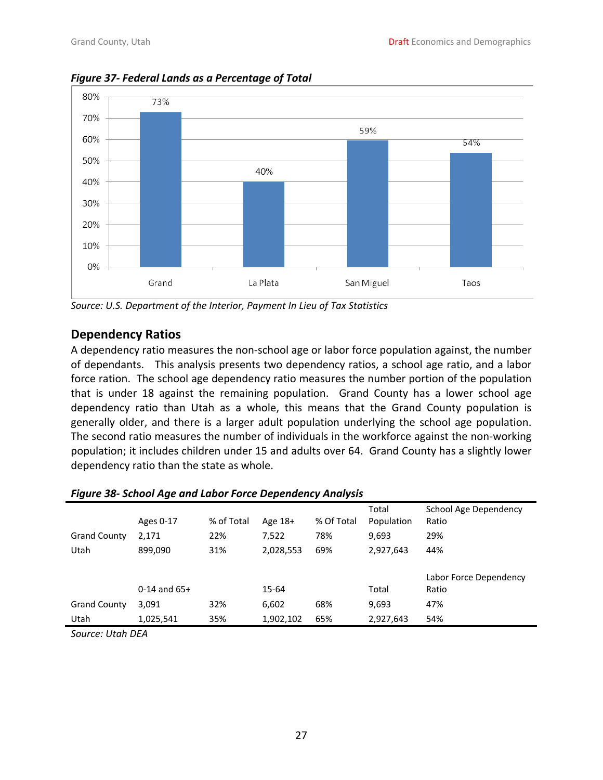

<span id="page-26-0"></span>*Figure 37‐ Federal Lands as a Percentage of Total*

*Source: U.S. Department of the Interior, Payment In Lieu of Tax Statistics*

# **Dependency Ratios**

A dependency ratio measures the non‐school age or labor force population against, the number of dependants. This analysis presents two dependency ratios, a school age ratio, and a labor force ration. The school age dependency ratio measures the number portion of the population that is under 18 against the remaining population. Grand County has a lower school age dependency ratio than Utah as a whole, this means that the Grand County population is generally older, and there is a larger adult population underlying the school age population. The second ratio measures the number of individuals in the workforce against the non-working population; it includes children under 15 and adults over 64. Grand County has a slightly lower dependency ratio than the state as whole.

| Figure 38- School Age and Labor Force Dependency Analysis |                  |            |           |            |            |                        |
|-----------------------------------------------------------|------------------|------------|-----------|------------|------------|------------------------|
|                                                           |                  |            |           |            | Total      | School Age Dependency  |
|                                                           | Ages 0-17        | % of Total | Age $18+$ | % Of Total | Population | Ratio                  |
| <b>Grand County</b>                                       | 2,171            | 22%        | 7,522     | 78%        | 9,693      | 29%                    |
| Utah                                                      | 899,090          | 31%        | 2,028,553 | 69%        | 2,927,643  | 44%                    |
|                                                           |                  |            |           |            |            |                        |
|                                                           |                  |            |           |            |            | Labor Force Dependency |
|                                                           | $0-14$ and $65+$ |            | 15-64     |            | Total      | Ratio                  |
| <b>Grand County</b>                                       | 3,091            | 32%        | 6,602     | 68%        | 9,693      | 47%                    |
| Utah                                                      | 1,025,541        | 35%        | 1,902,102 | 65%        | 2,927,643  | 54%                    |
|                                                           |                  |            |           |            |            |                        |

| Figure 38- School Age and Labor Force Dependency Analysis |  |  |
|-----------------------------------------------------------|--|--|
|-----------------------------------------------------------|--|--|

*Source: Utah DEA*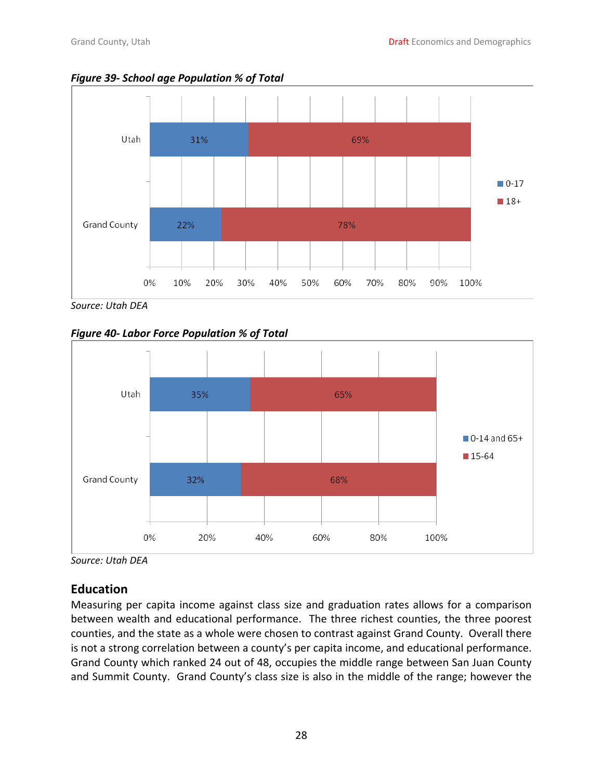<span id="page-27-0"></span>



*Source: Utah DEA*

*Figure 40‐ Labor Force Population % of Total* 



*Source: Utah DEA*

# **Education**

Measuring per capita income against class size and graduation rates allows for a comparison between wealth and educational performance. The three richest counties, the three poorest counties, and the state as a whole were chosen to contrast against Grand County. Overall there is not a strong correlation between a county's per capita income, and educational performance. Grand County which ranked 24 out of 48, occupies the middle range between San Juan County and Summit County. Grand County's class size is also in the middle of the range; however the